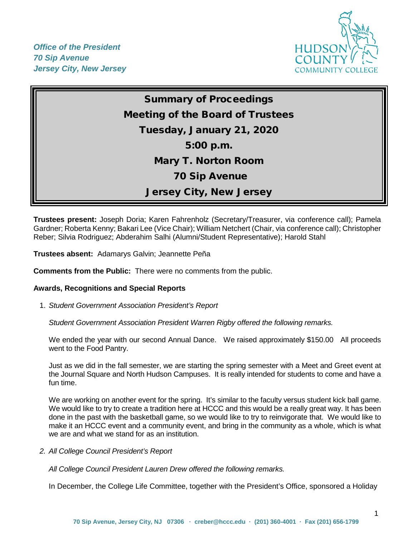*Office of the President 70 Sip Avenue Jersey City, New Jersey*



# Summary of Proceedings Meeting of the Board of Trustees Tuesday, January 21, 2020 5:00 p.m. Mary T. Norton Room 70 Sip Avenue Jersey City, New Jersey

**Trustees present:** Joseph Doria; Karen Fahrenholz (Secretary/Treasurer, via conference call); Pamela Gardner; Roberta Kenny; Bakari Lee (Vice Chair); William Netchert (Chair, via conference call); Christopher Reber; Silvia Rodriguez; Abderahim Salhi (Alumni/Student Representative); Harold Stahl

**Trustees absent:** Adamarys Galvin; Jeannette Peña

**Comments from the Public:** There were no comments from the public.

#### **Awards, Recognitions and Special Reports**

1. *Student Government Association President's Report* 

*Student Government Association President Warren Rigby offered the following remarks.*

We ended the year with our second Annual Dance. We raised approximately \$150.00 All proceeds went to the Food Pantry.

Just as we did in the fall semester, we are starting the spring semester with a Meet and Greet event at the Journal Square and North Hudson Campuses. It is really intended for students to come and have a fun time.

We are working on another event for the spring. It's similar to the faculty versus student kick ball game. We would like to try to create a tradition here at HCCC and this would be a really great way. It has been done in the past with the basketball game, so we would like to try to reinvigorate that. We would like to make it an HCCC event and a community event, and bring in the community as a whole, which is what we are and what we stand for as an institution.

*2. All College Council President's Report* 

*All College Council President Lauren Drew offered the following remarks.*

In December, the College Life Committee, together with the President's Office, sponsored a Holiday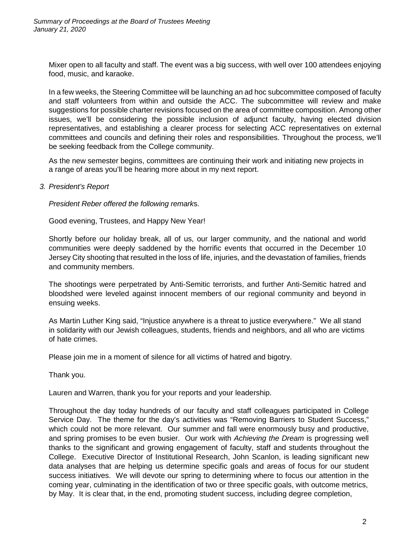Mixer open to all faculty and staff. The event was a big success, with well over 100 attendees enjoying food, music, and karaoke.

In a few weeks, the Steering Committee will be launching an ad hoc subcommittee composed of faculty and staff volunteers from within and outside the ACC. The subcommittee will review and make suggestions for possible charter revisions focused on the area of committee composition. Among other issues, we'll be considering the possible inclusion of adjunct faculty, having elected division representatives, and establishing a clearer process for selecting ACC representatives on external committees and councils and defining their roles and responsibilities. Throughout the process, we'll be seeking feedback from the College community.

As the new semester begins, committees are continuing their work and initiating new projects in a range of areas you'll be hearing more about in my next report.

*3. President's Report*

*President Reber offered the following remark*s.

Good evening, Trustees, and Happy New Year!

Shortly before our holiday break, all of us, our larger community, and the national and world communities were deeply saddened by the horrific events that occurred in the December 10 Jersey City shooting that resulted in the loss of life, injuries, and the devastation of families, friends and community members.

The shootings were perpetrated by Anti-Semitic terrorists, and further Anti-Semitic hatred and bloodshed were leveled against innocent members of our regional community and beyond in ensuing weeks.

As Martin Luther King said, "Injustice anywhere is a threat to justice everywhere." We all stand in solidarity with our Jewish colleagues, students, friends and neighbors, and all who are victims of hate crimes.

Please join me in a moment of silence for all victims of hatred and bigotry.

Thank you.

Lauren and Warren, thank you for your reports and your leadership.

Throughout the day today hundreds of our faculty and staff colleagues participated in College Service Day. The theme for the day's activities was "Removing Barriers to Student Success," which could not be more relevant. Our summer and fall were enormously busy and productive, and spring promises to be even busier. Our work with *Achieving the Dream* is progressing well thanks to the significant and growing engagement of faculty, staff and students throughout the College. Executive Director of Institutional Research, John Scanlon, is leading significant new data analyses that are helping us determine specific goals and areas of focus for our student success initiatives. We will devote our spring to determining where to focus our attention in the coming year, culminating in the identification of two or three specific goals, with outcome metrics, by May. It is clear that, in the end, promoting student success, including degree completion,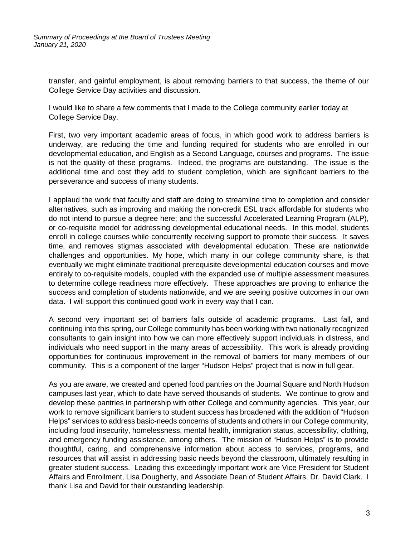transfer, and gainful employment, is about removing barriers to that success, the theme of our College Service Day activities and discussion.

I would like to share a few comments that I made to the College community earlier today at College Service Day.

First, two very important academic areas of focus, in which good work to address barriers is underway, are reducing the time and funding required for students who are enrolled in our developmental education, and English as a Second Language, courses and programs. The issue is not the quality of these programs. Indeed, the programs are outstanding. The issue is the additional time and cost they add to student completion, which are significant barriers to the perseverance and success of many students.

I applaud the work that faculty and staff are doing to streamline time to completion and consider alternatives, such as improving and making the non-credit ESL track affordable for students who do not intend to pursue a degree here; and the successful Accelerated Learning Program (ALP), or co-requisite model for addressing developmental educational needs. In this model, students enroll in college courses while concurrently receiving support to promote their success. It saves time, and removes stigmas associated with developmental education. These are nationwide challenges and opportunities. My hope, which many in our college community share, is that eventually we might eliminate traditional prerequisite developmental education courses and move entirely to co-requisite models, coupled with the expanded use of multiple assessment measures to determine college readiness more effectively. These approaches are proving to enhance the success and completion of students nationwide, and we are seeing positive outcomes in our own data. I will support this continued good work in every way that I can.

A second very important set of barriers falls outside of academic programs. Last fall, and continuing into this spring, our College community has been working with two nationally recognized consultants to gain insight into how we can more effectively support individuals in distress, and individuals who need support in the many areas of accessibility. This work is already providing opportunities for continuous improvement in the removal of barriers for many members of our community. This is a component of the larger "Hudson Helps" project that is now in full gear.

As you are aware, we created and opened food pantries on the Journal Square and North Hudson campuses last year, which to date have served thousands of students. We continue to grow and develop these pantries in partnership with other College and community agencies. This year, our work to remove significant barriers to student success has broadened with the addition of "Hudson Helps" services to address basic-needs concerns of students and others in our College community, including food insecurity, homelessness, mental health, immigration status, accessibility, clothing, and emergency funding assistance, among others. The mission of "Hudson Helps" is to provide thoughtful, caring, and comprehensive information about access to services, programs, and resources that will assist in addressing basic needs beyond the classroom, ultimately resulting in greater student success. Leading this exceedingly important work are Vice President for Student Affairs and Enrollment, Lisa Dougherty, and Associate Dean of Student Affairs, Dr. David Clark. I thank Lisa and David for their outstanding leadership.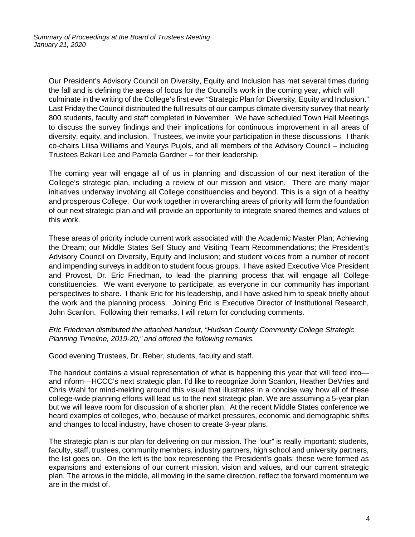Our President's Advisory Council on Diversity, Equity and Inclusion has met several times during the fall and is defining the areas of focus for the Council's work in the coming year, which will culminate in the writing of the College's first ever "Strategic Plan for Diversity, Equity and Inclusion." Last Friday the Council distributed the full results of our campus climate diversity survey that nearly 800 students, faculty and staff completed in November. We have scheduled Town Hall Meetings to discuss the survey findings and their implications for continuous improvement in all areas of diversity, equity, and inclusion. Trustees, we invite your participation in these discussions. I thank co-chairs Lilisa Williams and Yeurys Pujols, and all members of the Advisory Council – including Trustees Bakari Lee and Pamela Gardner – for their leadership.

The coming year will engage all of us in planning and discussion of our next iteration of the College's strategic plan, including a review of our mission and vision. There are many major initiatives underway involving all College constituencies and beyond. This is a sign of a healthy and prosperous College. Our work together in overarching areas of priority will form the foundation of our next strategic plan and will provide an opportunity to integrate shared themes and values of this work.

These areas of priority include current work associated with the Academic Master Plan; Achieving the Dream; our Middle States Self Study and Visiting Team Recommendations; the President's Advisory Council on Diversity, Equity and Inclusion; and student voices from a number of recent and impending surveys in addition to student focus groups. I have asked Executive Vice President and Provost, Dr. Eric Friedman, to lead the planning process that will engage all College constituencies. We want everyone to participate, as everyone in our community has important perspectives to share. I thank Eric for his leadership, and I have asked him to speak briefly about the work and the planning process. Joining Eric is Executive Director of Institutional Research, John Scanlon. Following their remarks, I will return for concluding comments.

## *Eric Friedman distributed the attached handout, "Hudson County Community College Strategic Planning Timeline, 2019-20," and offered the following remarks.*

Good evening Trustees, Dr. Reber, students, faculty and staff.

The handout contains a visual representation of what is happening this year that will feed into and inform—HCCC's next strategic plan. I'd like to recognize John Scanlon, Heather DeVries and Chris Wahl for mind-melding around this visual that illustrates in a concise way how all of these college-wide planning efforts will lead us to the next strategic plan. We are assuming a 5-year plan but we will leave room for discussion of a shorter plan. At the recent Middle States conference we heard examples of colleges, who, because of market pressures, economic and demographic shifts and changes to local industry, have chosen to create 3-year plans.

The strategic plan is our plan for delivering on our mission. The "our" is really important: students, faculty, staff, trustees, community members, industry partners, high school and university partners, the list goes on. On the left is the box representing the President's goals: these were formed as expansions and extensions of our current mission, vision and values, and our current strategic plan. The arrows in the middle, all moving in the same direction, reflect the forward momentum we are in the midst of.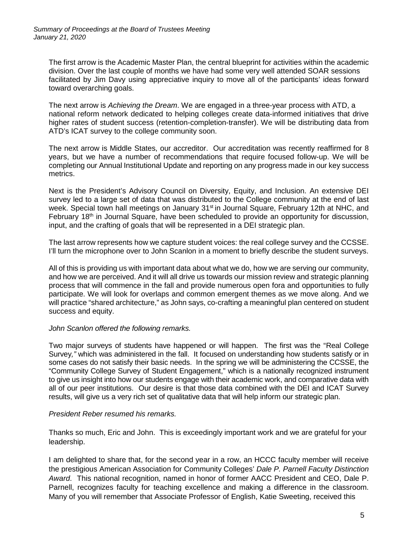The first arrow is the Academic Master Plan, the central blueprint for activities within the academic division. Over the last couple of months we have had some very well attended SOAR sessions facilitated by Jim Davy using appreciative inquiry to move all of the participants' ideas forward toward overarching goals.

The next arrow is *Achieving the Dream*. We are engaged in a three-year process with ATD, a national reform network dedicated to helping colleges create data-informed initiatives that drive higher rates of student success (retention-completion-transfer). We will be distributing data from ATD's ICAT survey to the college community soon.

The next arrow is Middle States, our accreditor. Our accreditation was recently reaffirmed for 8 years, but we have a number of recommendations that require focused follow-up. We will be completing our Annual Institutional Update and reporting on any progress made in our key success metrics.

Next is the President's Advisory Council on Diversity, Equity, and Inclusion. An extensive DEI survey led to a large set of data that was distributed to the College community at the end of last week. Special town hall meetings on January 31<sup>st</sup> in Journal Square, February 12th at NHC, and February 18<sup>th</sup> in Journal Square, have been scheduled to provide an opportunity for discussion, input, and the crafting of goals that will be represented in a DEI strategic plan.

The last arrow represents how we capture student voices: the real college survey and the CCSSE. I'll turn the microphone over to John Scanlon in a moment to briefly describe the student surveys.

All of this is providing us with important data about what we do, how we are serving our community, and how we are perceived. And it will all drive us towards our mission review and strategic planning process that will commence in the fall and provide numerous open fora and opportunities to fully participate. We will look for overlaps and common emergent themes as we move along. And we will practice "shared architecture," as John says, co-crafting a meaningful plan centered on student success and equity.

# *John Scanlon offered the following remarks.*

Two major surveys of students have happened or will happen. The first was the "Real College Survey*,"* which was administered in the fall. It focused on understanding how students satisfy or in some cases do not satisfy their basic needs. In the spring we will be administering the CCSSE, the "Community College Survey of Student Engagement," which is a nationally recognized instrument to give us insight into how our students engage with their academic work, and comparative data with all of our peer institutions. Our desire is that those data combined with the DEI and ICAT Survey results, will give us a very rich set of qualitative data that will help inform our strategic plan.

# *President Reber resumed his remarks.*

Thanks so much, Eric and John. This is exceedingly important work and we are grateful for your leadership.

I am delighted to share that, for the second year in a row, an HCCC faculty member will receive the prestigious American Association for Community Colleges' *Dale P. Parnell Faculty Distinction Award*. This national recognition, named in honor of former AACC President and CEO, Dale P. Parnell, recognizes faculty for teaching excellence and making a difference in the classroom. Many of you will remember that Associate Professor of English, Katie Sweeting, received this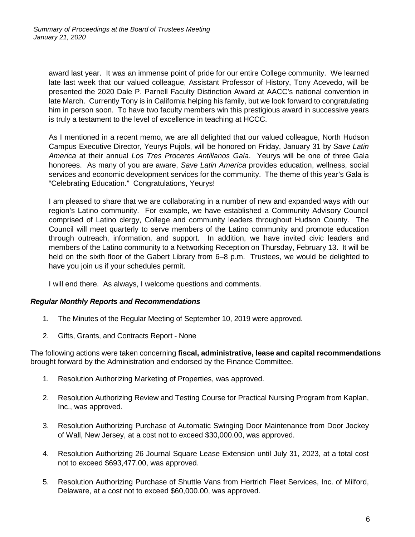award last year. It was an immense point of pride for our entire College community. We learned late last week that our valued colleague, Assistant Professor of History, Tony Acevedo, will be presented the 2020 Dale P. Parnell Faculty Distinction Award at AACC's national convention in late March. Currently Tony is in California helping his family, but we look forward to congratulating him in person soon. To have two faculty members win this prestigious award in successive years is truly a testament to the level of excellence in teaching at HCCC.

As I mentioned in a recent memo, we are all delighted that our valued colleague, North Hudson Campus Executive Director, Yeurys Pujols, will be honored on Friday, January 31 by *Save Latin America* at their annual *Los Tres Proceres Antillanos Gala*. Yeurys will be one of three Gala honorees. As many of you are aware, *Save Latin America* provides education, wellness, social services and economic development services for the community. The theme of this year's Gala is "Celebrating Education." Congratulations, Yeurys!

I am pleased to share that we are collaborating in a number of new and expanded ways with our region's Latino community. For example, we have established a Community Advisory Council comprised of Latino clergy, College and community leaders throughout Hudson County. The Council will meet quarterly to serve members of the Latino community and promote education through outreach, information, and support. In addition, we have invited civic leaders and members of the Latino community to a Networking Reception on Thursday, February 13. It will be held on the sixth floor of the Gabert Library from 6–8 p.m. Trustees, we would be delighted to have you join us if your schedules permit.

I will end there. As always, I welcome questions and comments.

# *Regular Monthly Reports and Recommendations*

- 1. The Minutes of the Regular Meeting of September 10, 2019 were approved.
- 2. Gifts, Grants, and Contracts Report None

The following actions were taken concerning **fiscal, administrative, lease and capital recommendations** brought forward by the Administration and endorsed by the Finance Committee.

- 1. Resolution Authorizing Marketing of Properties, was approved.
- 2. Resolution Authorizing Review and Testing Course for Practical Nursing Program from Kaplan, Inc., was approved.
- 3. Resolution Authorizing Purchase of Automatic Swinging Door Maintenance from Door Jockey of Wall, New Jersey, at a cost not to exceed \$30,000.00, was approved.
- 4. Resolution Authorizing 26 Journal Square Lease Extension until July 31, 2023, at a total cost not to exceed \$693,477.00, was approved.
- 5. Resolution Authorizing Purchase of Shuttle Vans from Hertrich Fleet Services, Inc. of Milford, Delaware, at a cost not to exceed \$60,000.00, was approved.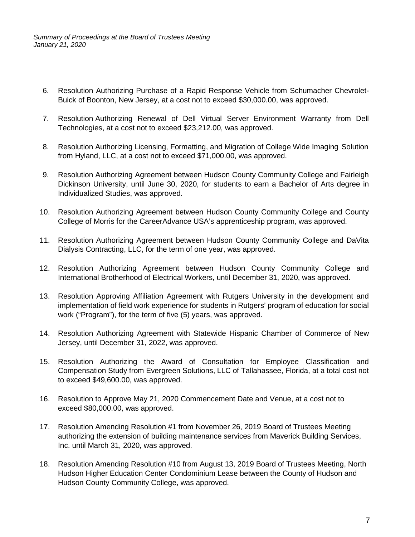*Summary of Proceedings at the Board of Trustees Meeting January 21, 2020*

- 6. Resolution Authorizing Purchase of a Rapid Response Vehicle from Schumacher Chevrolet-Buick of Boonton, New Jersey, at a cost not to exceed \$30,000.00, was approved.
- 7. Resolution Authorizing Renewal of Dell Virtual Server Environment Warranty from Dell Technologies, at a cost not to exceed \$23,212.00, was approved.
- 8. Resolution Authorizing Licensing, Formatting, and Migration of College Wide Imaging Solution from Hyland, LLC, at a cost not to exceed \$71,000.00, was approved.
- 9. Resolution Authorizing Agreement between Hudson County Community College and Fairleigh Dickinson University, until June 30, 2020, for students to earn a Bachelor of Arts degree in Individualized Studies, was approved.
- 10. Resolution Authorizing Agreement between Hudson County Community College and County College of Morris for the CareerAdvance USA's apprenticeship program, was approved.
- 11. Resolution Authorizing Agreement between Hudson County Community College and DaVita Dialysis Contracting, LLC, for the term of one year, was approved.
- 12. Resolution Authorizing Agreement between Hudson County Community College and International Brotherhood of Electrical Workers, until December 31, 2020, was approved.
- 13. Resolution Approving Affiliation Agreement with Rutgers University in the development and implementation of field work experience for students in Rutgers' program of education for social work ("Program"), for the term of five (5) years, was approved.
- 14. Resolution Authorizing Agreement with Statewide Hispanic Chamber of Commerce of New Jersey, until December 31, 2022, was approved.
- 15. Resolution Authorizing the Award of Consultation for Employee Classification and Compensation Study from Evergreen Solutions, LLC of Tallahassee, Florida, at a total cost not to exceed \$49,600.00, was approved.
- 16. Resolution to Approve May 21, 2020 Commencement Date and Venue, at a cost not to exceed \$80,000.00, was approved.
- 17. Resolution Amending Resolution #1 from November 26, 2019 Board of Trustees Meeting authorizing the extension of building maintenance services from Maverick Building Services, Inc. until March 31, 2020, was approved.
- 18. Resolution Amending Resolution #10 from August 13, 2019 Board of Trustees Meeting, North Hudson Higher Education Center Condominium Lease between the County of Hudson and Hudson County Community College, was approved.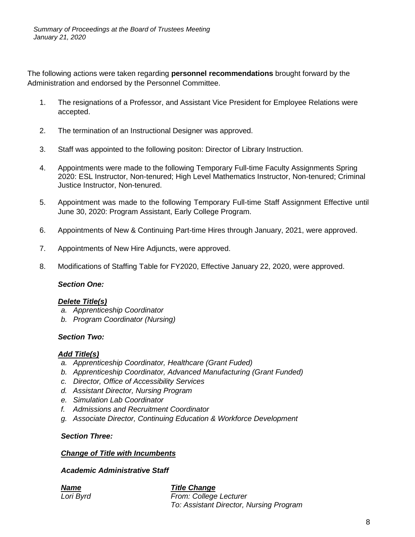The following actions were taken regarding **personnel recommendations** brought forward by the Administration and endorsed by the Personnel Committee.

- 1. The resignations of a Professor, and Assistant Vice President for Employee Relations were accepted.
- 2. The termination of an Instructional Designer was approved.
- 3. Staff was appointed to the following positon: Director of Library Instruction.
- 4. Appointments were made to the following Temporary Full-time Faculty Assignments Spring 2020: ESL Instructor, Non-tenured; High Level Mathematics Instructor, Non-tenured; Criminal Justice Instructor, Non-tenured.
- 5. Appointment was made to the following Temporary Full-time Staff Assignment Effective until June 30, 2020: Program Assistant, Early College Program.
- 6. Appointments of New & Continuing Part-time Hires through January, 2021, were approved.
- 7. Appointments of New Hire Adjuncts, were approved.
- 8. Modifications of Staffing Table for FY2020, Effective January 22, 2020, were approved.

#### *Section One:*

# *Delete Title(s)*

- *a. Apprenticeship Coordinator*
- *b. Program Coordinator (Nursing)*

#### *Section Two:*

# *Add Title(s)*

- *a. Apprenticeship Coordinator, Healthcare (Grant Fuded)*
- *b. Apprenticeship Coordinator, Advanced Manufacturing (Grant Funded)*
- *c. Director, Office of Accessibility Services*
- *d. Assistant Director, Nursing Program*
- *e. Simulation Lab Coordinator*
- *f. Admissions and Recruitment Coordinator*
- *g. Associate Director, Continuing Education & Workforce Development*

### *Section Three:*

#### *Change of Title with Incumbents*

# *Academic Administrative Staff*

#### *Name Title Change Lori Byrd From: College Lecturer To: Assistant Director, Nursing Program*